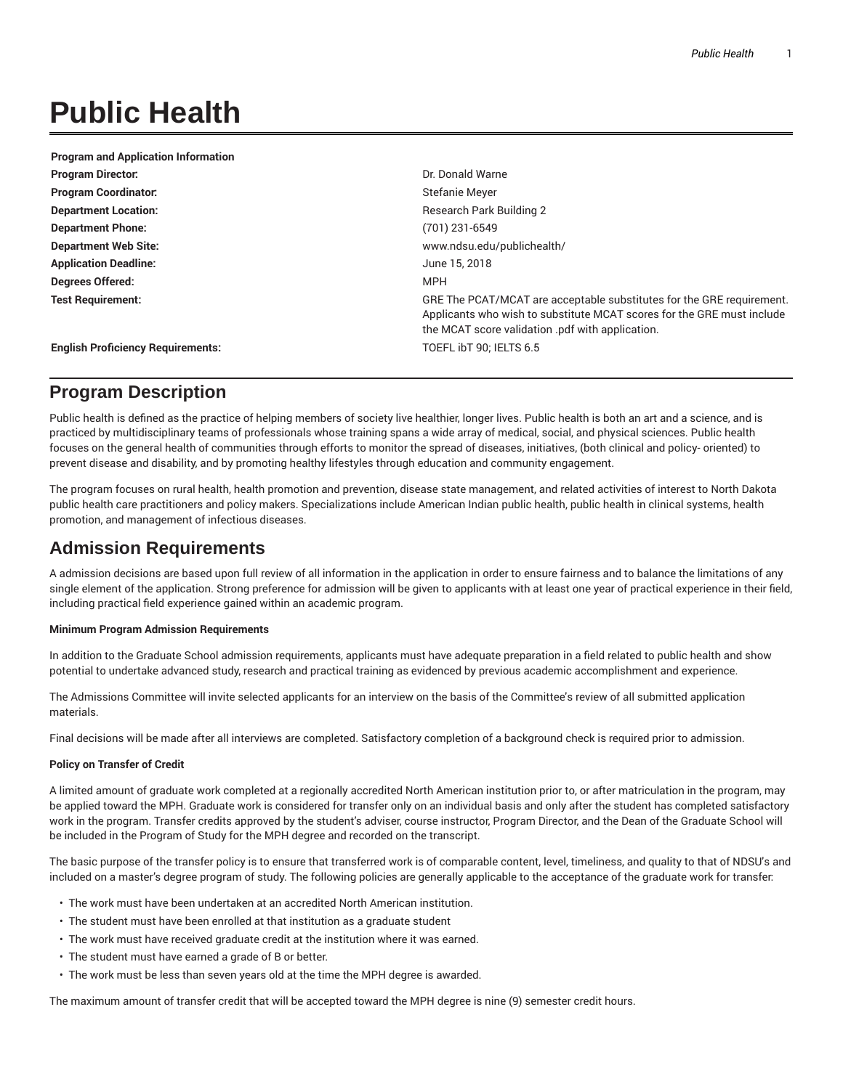# **Public Health**

| <b>Program and Application Information</b> |                                                                                                                                                                                                    |
|--------------------------------------------|----------------------------------------------------------------------------------------------------------------------------------------------------------------------------------------------------|
| <b>Program Director.</b>                   | Dr. Donald Warne                                                                                                                                                                                   |
| <b>Program Coordinator:</b>                | Stefanie Meyer                                                                                                                                                                                     |
| <b>Department Location:</b>                | <b>Research Park Building 2</b>                                                                                                                                                                    |
| <b>Department Phone:</b>                   | (701) 231-6549                                                                                                                                                                                     |
| <b>Department Web Site:</b>                | www.ndsu.edu/publichealth/                                                                                                                                                                         |
| <b>Application Deadline:</b>               | June 15, 2018                                                                                                                                                                                      |
| Degrees Offered:                           | <b>MPH</b>                                                                                                                                                                                         |
| <b>Test Requirement:</b>                   | GRE The PCAT/MCAT are acceptable substitutes for the GRE requirement.<br>Applicants who wish to substitute MCAT scores for the GRE must include<br>the MCAT score validation pdf with application. |
| <b>English Proficiency Requirements:</b>   | TOEFL IbT 90: IELTS 6.5                                                                                                                                                                            |

# **Program Description**

Public health is defined as the practice of helping members of society live healthier, longer lives. Public health is both an art and a science, and is practiced by multidisciplinary teams of professionals whose training spans a wide array of medical, social, and physical sciences. Public health focuses on the general health of communities through efforts to monitor the spread of diseases, initiatives, (both clinical and policy- oriented) to prevent disease and disability, and by promoting healthy lifestyles through education and community engagement.

The program focuses on rural health, health promotion and prevention, disease state management, and related activities of interest to North Dakota public health care practitioners and policy makers. Specializations include American Indian public health, public health in clinical systems, health promotion, and management of infectious diseases.

# **Admission Requirements**

A admission decisions are based upon full review of all information in the application in order to ensure fairness and to balance the limitations of any single element of the application. Strong preference for admission will be given to applicants with at least one year of practical experience in their field, including practical field experience gained within an academic program.

## **Minimum Program Admission Requirements**

In addition to the Graduate School admission requirements, applicants must have adequate preparation in a field related to public health and show potential to undertake advanced study, research and practical training as evidenced by previous academic accomplishment and experience.

The Admissions Committee will invite selected applicants for an interview on the basis of the Committee's review of all submitted application materials.

Final decisions will be made after all interviews are completed. Satisfactory completion of a background check is required prior to admission.

## **Policy on Transfer of Credit**

A limited amount of graduate work completed at a regionally accredited North American institution prior to, or after matriculation in the program, may be applied toward the MPH. Graduate work is considered for transfer only on an individual basis and only after the student has completed satisfactory work in the program. Transfer credits approved by the student's adviser, course instructor, Program Director, and the Dean of the Graduate School will be included in the Program of Study for the MPH degree and recorded on the transcript.

The basic purpose of the transfer policy is to ensure that transferred work is of comparable content, level, timeliness, and quality to that of NDSU's and included on a master's degree program of study. The following policies are generally applicable to the acceptance of the graduate work for transfer:

- The work must have been undertaken at an accredited North American institution.
- The student must have been enrolled at that institution as a graduate student
- The work must have received graduate credit at the institution where it was earned.
- The student must have earned a grade of B or better.
- The work must be less than seven years old at the time the MPH degree is awarded.

The maximum amount of transfer credit that will be accepted toward the MPH degree is nine (9) semester credit hours.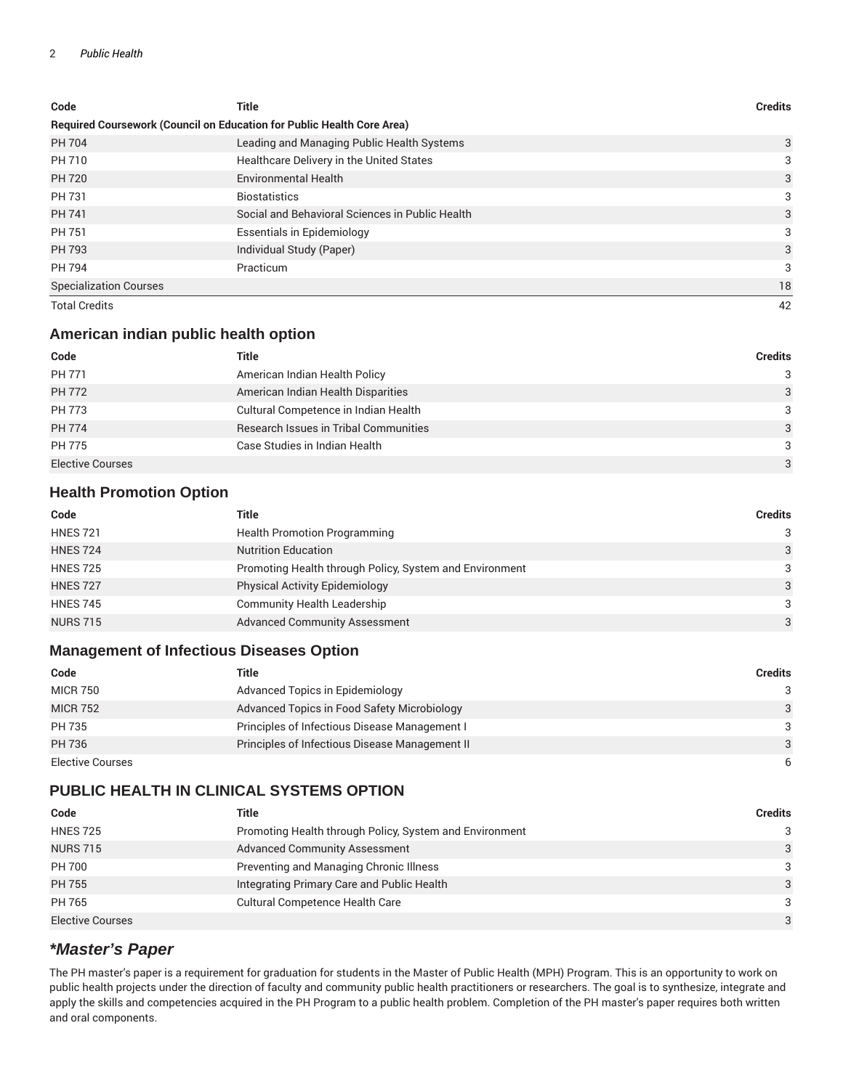## 2 *Public Health*

| Code                                                                   | Title                                           | <b>Credits</b> |
|------------------------------------------------------------------------|-------------------------------------------------|----------------|
| Required Coursework (Council on Education for Public Health Core Area) |                                                 |                |
| PH 704                                                                 | Leading and Managing Public Health Systems      | 3              |
| PH 710                                                                 | Healthcare Delivery in the United States        | 3              |
| <b>PH 720</b>                                                          | <b>Environmental Health</b>                     | 3              |
| PH 731                                                                 | <b>Biostatistics</b>                            | 3              |
| PH 741                                                                 | Social and Behavioral Sciences in Public Health | 3              |
| PH 751                                                                 | <b>Essentials in Epidemiology</b>               | 3              |
| PH 793                                                                 | Individual Study (Paper)                        | 3              |
| PH 794                                                                 | Practicum                                       | 3              |
| <b>Specialization Courses</b>                                          |                                                 | 18             |
| <b>Total Credits</b>                                                   |                                                 | 42             |

# **American indian public health option**

| Code                    | Title                                 | Credits |
|-------------------------|---------------------------------------|---------|
| PH 771                  | American Indian Health Policy         | 3       |
| PH 772                  | American Indian Health Disparities    | 3       |
| PH 773                  | Cultural Competence in Indian Health  | 3       |
| <b>PH 774</b>           | Research Issues in Tribal Communities | 3       |
| <b>PH 775</b>           | Case Studies in Indian Health         | 3       |
| <b>Elective Courses</b> |                                       | 3       |

# **Health Promotion Option**

| Code            | Title                                                   | <b>Credits</b> |
|-----------------|---------------------------------------------------------|----------------|
| <b>HNES 721</b> | <b>Health Promotion Programming</b>                     | 3              |
| <b>HNES 724</b> | <b>Nutrition Education</b>                              | 3              |
| <b>HNES 725</b> | Promoting Health through Policy, System and Environment | 3              |
| <b>HNES 727</b> | <b>Physical Activity Epidemiology</b>                   | 3              |
| <b>HNES 745</b> | Community Health Leadership                             | 3              |
| <b>NURS 715</b> | <b>Advanced Community Assessment</b>                    | 3              |

# **Management of Infectious Diseases Option**

| Code             | Title                                          | Credits       |
|------------------|------------------------------------------------|---------------|
| <b>MICR 750</b>  | Advanced Topics in Epidemiology                | $\mathcal{S}$ |
| <b>MICR 752</b>  | Advanced Topics in Food Safety Microbiology    | 3             |
| PH 735           | Principles of Infectious Disease Management I  | $\mathcal{B}$ |
| PH 736           | Principles of Infectious Disease Management II | $\mathcal{E}$ |
| Elective Courses |                                                | 6             |

# **PUBLIC HEALTH IN CLINICAL SYSTEMS OPTION**

| Code                    | Title                                                   | Credits       |
|-------------------------|---------------------------------------------------------|---------------|
| <b>HNES 725</b>         | Promoting Health through Policy, System and Environment | $\mathcal{S}$ |
| <b>NURS 715</b>         | <b>Advanced Community Assessment</b>                    | 3             |
| <b>PH 700</b>           | Preventing and Managing Chronic Illness                 | 3             |
| <b>PH 755</b>           | Integrating Primary Care and Public Health              | $\mathcal{E}$ |
| PH 765                  | <b>Cultural Competence Health Care</b>                  | $\mathcal{B}$ |
| <b>Elective Courses</b> |                                                         | $\mathcal{E}$ |

# **\*Master's Paper**

The PH master's paper is a requirement for graduation for students in the Master of Public Health (MPH) Program. This is an opportunity to work on public health projects under the direction of faculty and community public health practitioners or researchers. The goal is to synthesize, integrate and apply the skills and competencies acquired in the PH Program to a public health problem. Completion of the PH master's paper requires both written and oral components.